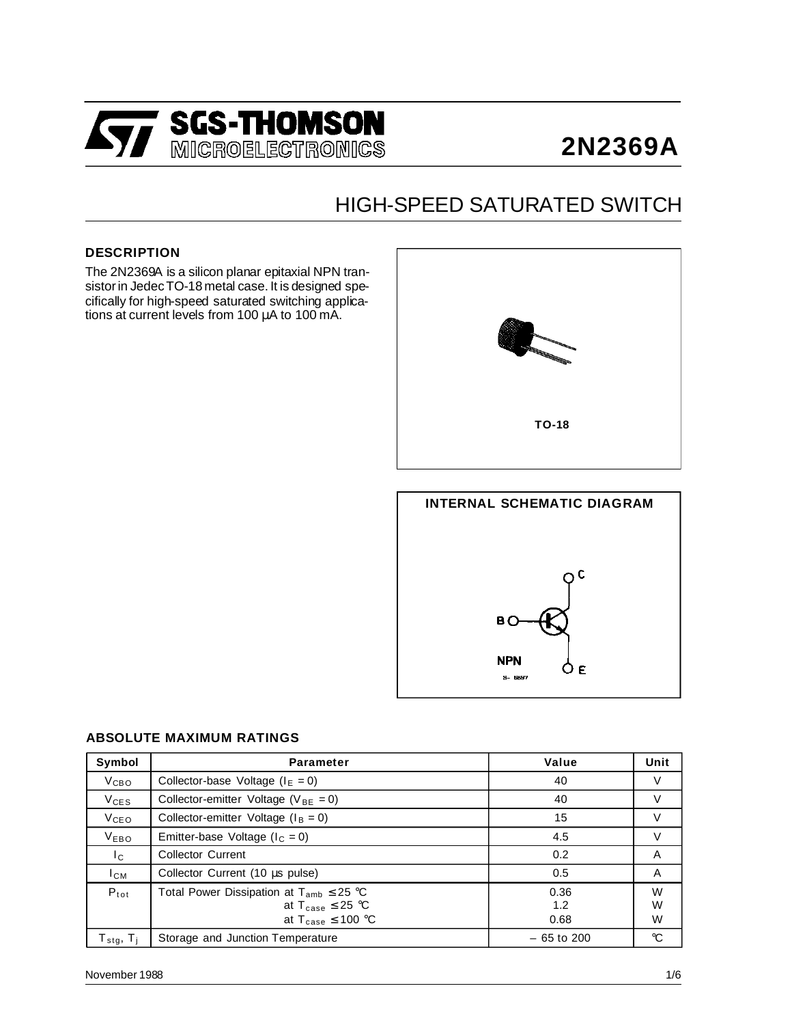

# **2N2369A**

## HIGH-SPEED SATURATED SWITCH

#### **DESCRIPTION**

The 2N2369A is a silicon planar epitaxial NPN transistor in Jedec TO-18 metal case. It is designed specifically for high-speed saturated switching applications at current levels from 100 µA to 100 mA.





#### **ABSOLUTE MAXIMUM RATINGS**

| Symbol                                                 | <b>Parameter</b>                                                                                                       | Value               | Unit        |
|--------------------------------------------------------|------------------------------------------------------------------------------------------------------------------------|---------------------|-------------|
| V <sub>CBO</sub>                                       | Collector-base Voltage ( $IE = 0$ )                                                                                    | 40                  | V           |
| $V_{CES}$                                              | Collector-emitter Voltage ( $V_{BE} = 0$ )                                                                             | 40                  | V           |
| V <sub>CEO</sub>                                       | Collector-emitter Voltage ( $I_B = 0$ )                                                                                | 15                  | V           |
| <b>VEBO</b>                                            | Emitter-base Voltage ( $I_c = 0$ )                                                                                     | 4.5                 | V           |
| $I_{\rm C}$                                            | <b>Collector Current</b>                                                                                               | 0.2                 | A           |
| $I_{CM}$                                               | Collector Current (10 µs pulse)                                                                                        | 0.5                 | A           |
| $P_{tot}$                                              | Total Power Dissipation at $T_{amb} \leq 25$ °C<br>at $T_{\text{case}} \leq 25$ °C<br>at $T_{\text{case}} \leq 100$ °C | 0.36<br>1.2<br>0.68 | W<br>W<br>W |
| $\mathsf{T}_{\mathsf{stg}},\, \mathsf{T}_{\mathsf{i}}$ | Storage and Junction Temperature                                                                                       | $-65$ to 200        | °C          |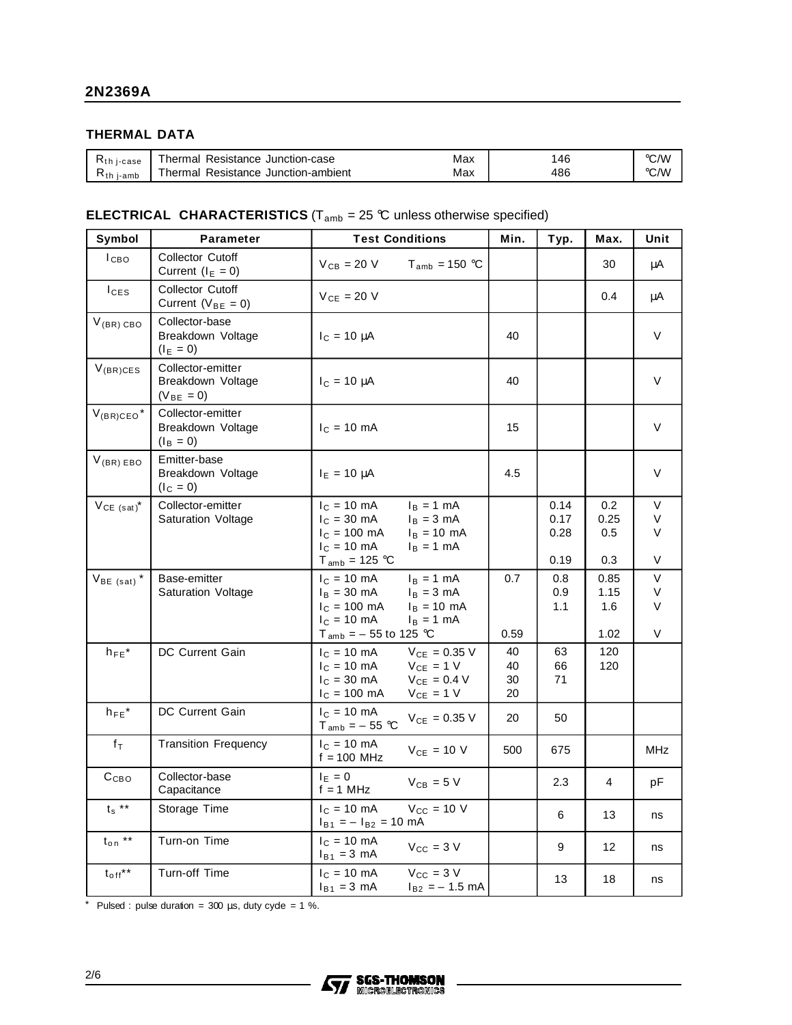#### **THERMAL DATA**

| $\kappa$ th j-case | Resistance<br>Junction-case<br>⊺hermal    | Max | 46  | ℃⁄W  |
|--------------------|-------------------------------------------|-----|-----|------|
| Ւth<br>i-amb       | Resistance<br>Junction-ambient<br>⊺hermal | Max | 486 | °C/W |

#### **ELECTRICAL CHARACTERISTICS** ( $T_{amb}$  = 25 °C unless otherwise specified)

| Symbol                     | <b>Parameter</b>                                         | <b>Test Conditions</b>                                                                                                                                                                                   | Min.                 | Typ.                         | Max.                        | Unit                  |
|----------------------------|----------------------------------------------------------|----------------------------------------------------------------------------------------------------------------------------------------------------------------------------------------------------------|----------------------|------------------------------|-----------------------------|-----------------------|
| $_{\text{LIBO}}$           | <b>Collector Cutoff</b><br>Current $(I_E = 0)$           | $V_{CB}$ = 20 V<br>$T_{amb}$ = 150 °C                                                                                                                                                                    |                      |                              | 30                          | μA                    |
| $I_{CES}$                  | <b>Collector Cutoff</b><br>Current ( $V_{BE} = 0$ )      | $V_{CE}$ = 20 V                                                                                                                                                                                          |                      |                              | 0.4                         | μA                    |
| $V_{(BR) CBO}$             | Collector-base<br>Breakdown Voltage<br>$(I_E = 0)$       | $I_C = 10 \mu A$                                                                                                                                                                                         | 40                   |                              |                             | V                     |
| $V_{(BR)CES}$              | Collector-emitter<br>Breakdown Voltage<br>$(V_{BE} = 0)$ | $I_c = 10 \mu A$                                                                                                                                                                                         | 40                   |                              |                             | V                     |
| $V_{(BR)CEO}$ <sup>*</sup> | Collector-emitter<br>Breakdown Voltage<br>$(I_B = 0)$    | $I_C = 10$ mA                                                                                                                                                                                            | 15                   |                              |                             | V                     |
| $V_{(BR) EBO}$             | Emitter-base<br>Breakdown Voltage<br>$(I_C = 0)$         | $I_E = 10 \mu A$                                                                                                                                                                                         | 4.5                  |                              |                             | V                     |
| $V_{CE (sat)}^*$           | Collector-emitter<br>Saturation Voltage                  | $I_C = 10 \text{ mA}$<br>$I_B = 1 mA$<br>$IC = 30 mA$<br>$I_B = 3 mA$<br>$I_{C}$ = 100 mA<br>$I_B = 10$ mA<br>$I_C = 10 \text{ mA}$<br>$I_B = 1$ mA<br>$T_{amb}$ = 125 °C                                |                      | 0.14<br>0.17<br>0.28<br>0.19 | 0.2<br>0.25<br>0.5<br>0.3   | V<br>V<br>V<br>V      |
| $V_{BE (sat)}$ *           | Base-emitter<br>Saturation Voltage                       | $I_B = 1$ mA<br>$I_C = 10 \text{ mA}$<br>$I_B = 30 \text{ mA}$<br>$I_B = 3$ mA<br>$I_c = 100$ mA<br>$I_B = 10 \text{ mA}$<br>$I_C = 10 \text{ mA}$<br>$I_B = 1$ mA<br>T <sub>amb</sub> = $-55$ to 125 °C | 0.7<br>0.59          | 0.8<br>0.9<br>1.1            | 0.85<br>1.15<br>1.6<br>1.02 | $\vee$<br>V<br>V<br>V |
| $h_{FE}$ *                 | DC Current Gain                                          | $I_{C} = 10 \text{ mA}$<br>$V_{CE} = 0.35 V$<br>$I_C = 10$ mA<br>$V_{CE}$ = 1 V<br>$I_C = 30$ mA<br>$V_{CE} = 0.4 V$<br>$I_{C} = 100$ mA<br>$V_{CE}$ = 1 V                                               | 40<br>40<br>30<br>20 | 63<br>66<br>71               | 120<br>120                  |                       |
| $h_{FE}$ *                 | DC Current Gain                                          | $I_C = 10 \text{ mA}$<br>$V_{CE} = 0.35 V$<br>$T_{amb} = -55$ °C                                                                                                                                         | 20                   | 50                           |                             |                       |
| $f_T$                      | <b>Transition Frequency</b>                              | $I_c = 10$ mA<br>$V_{CE}$ = 10 V<br>$f = 100$ MHz                                                                                                                                                        | 500                  | 675                          |                             | <b>MHz</b>            |
| C <sub>CBO</sub>           | Collector-base<br>Capacitance                            | $I_E = 0$<br>$V_{CB}$ = 5 V<br>$f = 1$ MHz                                                                                                                                                               |                      | 2.3                          | 4                           | рF                    |
| $t_s$ **                   | Storage Time                                             | $V_{CC}$ = 10 V<br>$I_C = 10 \text{ mA}$<br>$I_{B1} = -I_{B2} = 10$ mA                                                                                                                                   |                      | 6                            | 13                          | ns                    |
| $t_{\mathsf{on}}$ **       | Turn-on Time                                             | $I_C = 10 \text{ mA}$<br>$V_{CC}$ = 3 V<br>$I_{B1} = 3$ mA                                                                                                                                               |                      | 9                            | 12                          | ns                    |
| $t_{off}$ **               | Turn-off Time                                            | $I_C = 10$ mA<br>$V_{CC}$ = 3 V<br>$I_{B1} = 3$ mA<br>$I_{B2} = -1.5$ mA                                                                                                                                 |                      | 13                           | 18                          | ns                    |

\* Pulsed : pulse duration =  $300 \mu s$ , duty cyde = 1 %.

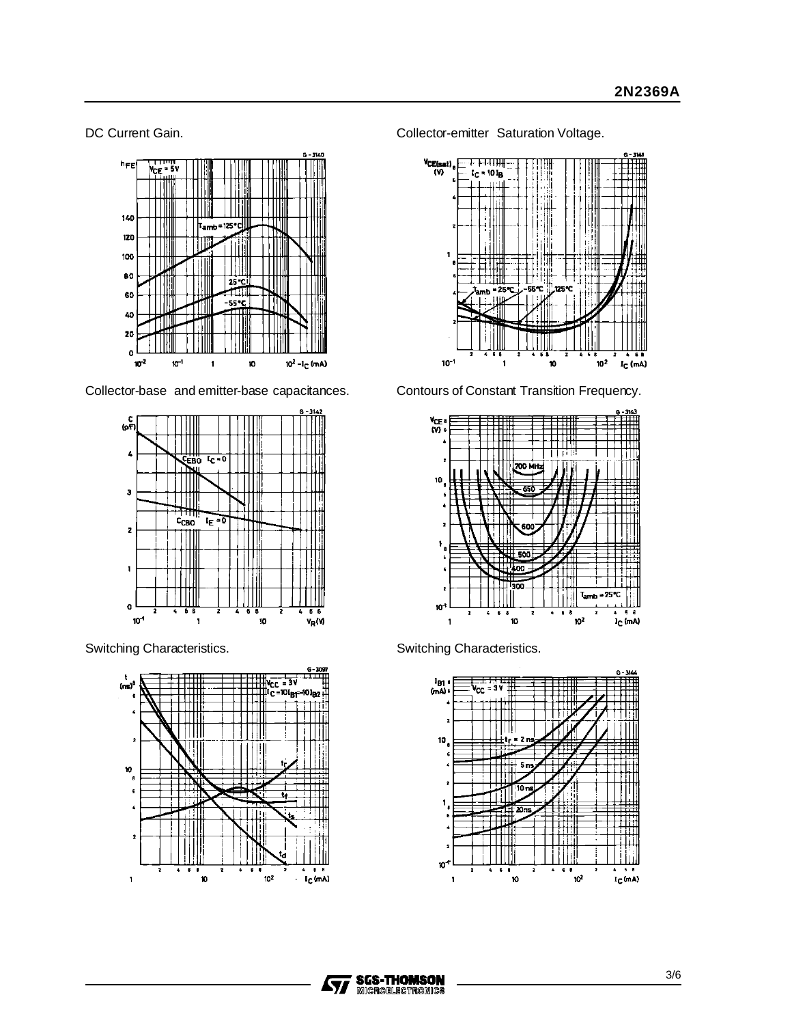

Collector-base and emitter-base capacitances. Contours of Constant Transition Frequency.





DC Current Gain. **Collector-emitter Saturation Voltage.** Collector-emitter Saturation Voltage.





Switching Characteristics. Switching Characteristics.



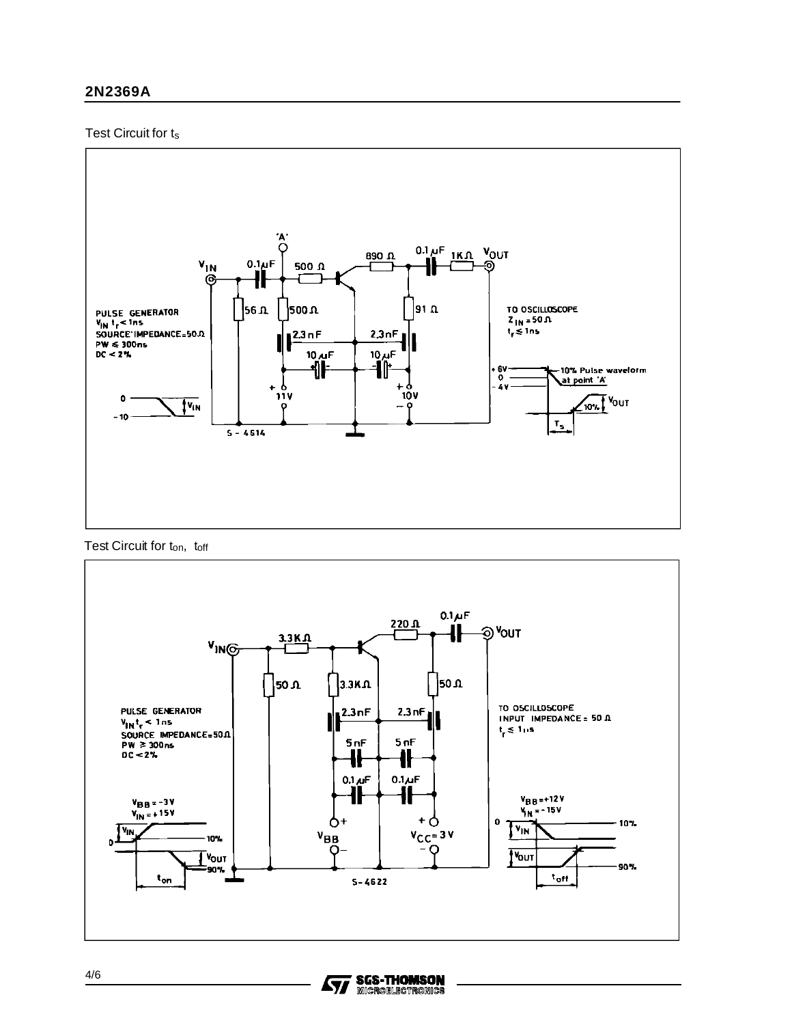#### 2N2369A

#### Test Circuit for ts



Test Circuit for ton, toff



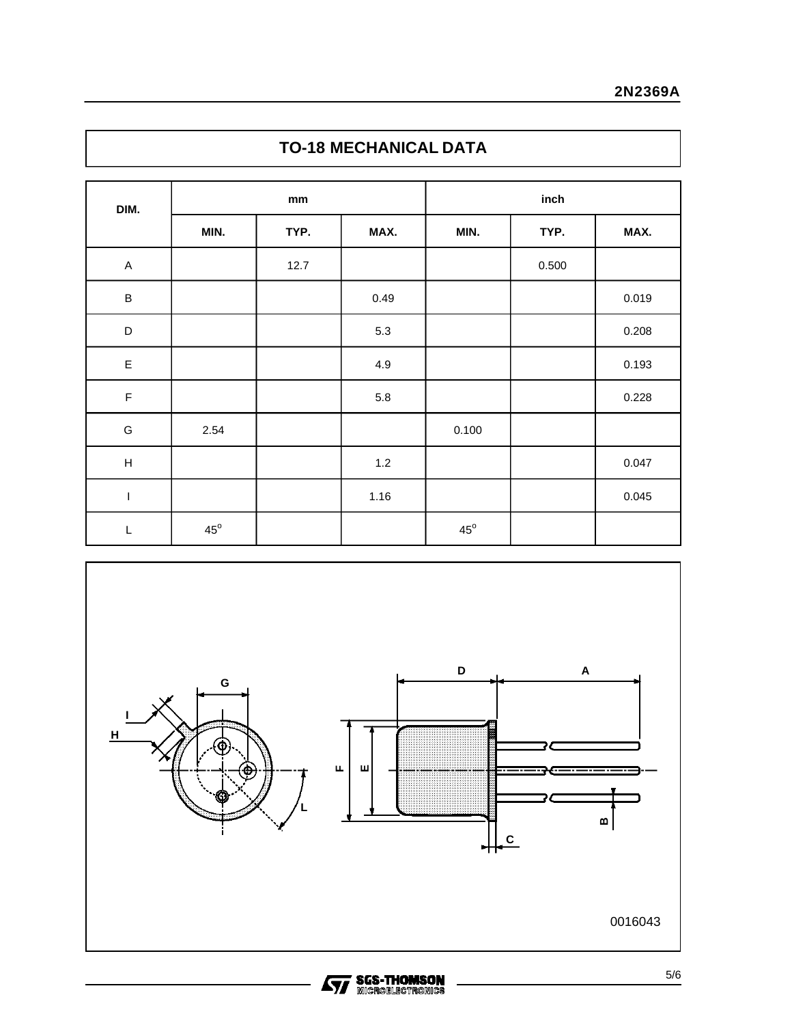### **TO-18 MECHANICAL DATA**

| DIM.                      | $\mathop{\rm mm}\nolimits$ |      | inch    |              |       |       |
|---------------------------|----------------------------|------|---------|--------------|-------|-------|
|                           | MIN.                       | TYP. | MAX.    | MIN.         | TYP.  | MAX.  |
| $\boldsymbol{\mathsf{A}}$ |                            | 12.7 |         |              | 0.500 |       |
| $\sf B$                   |                            |      | 0.49    |              |       | 0.019 |
| $\mathsf D$               |                            |      | $5.3\,$ |              |       | 0.208 |
| $\mathsf E$               |                            |      | 4.9     |              |       | 0.193 |
| $\mathsf F$               |                            |      | $5.8\,$ |              |       | 0.228 |
| G                         | 2.54                       |      |         | 0.100        |       |       |
| $\boldsymbol{\mathsf{H}}$ |                            |      | $1.2$   |              |       | 0.047 |
| $\sf I$                   |                            |      | 1.16    |              |       | 0.045 |
| L                         | $45^{\circ}$               |      |         | $45^{\circ}$ |       |       |